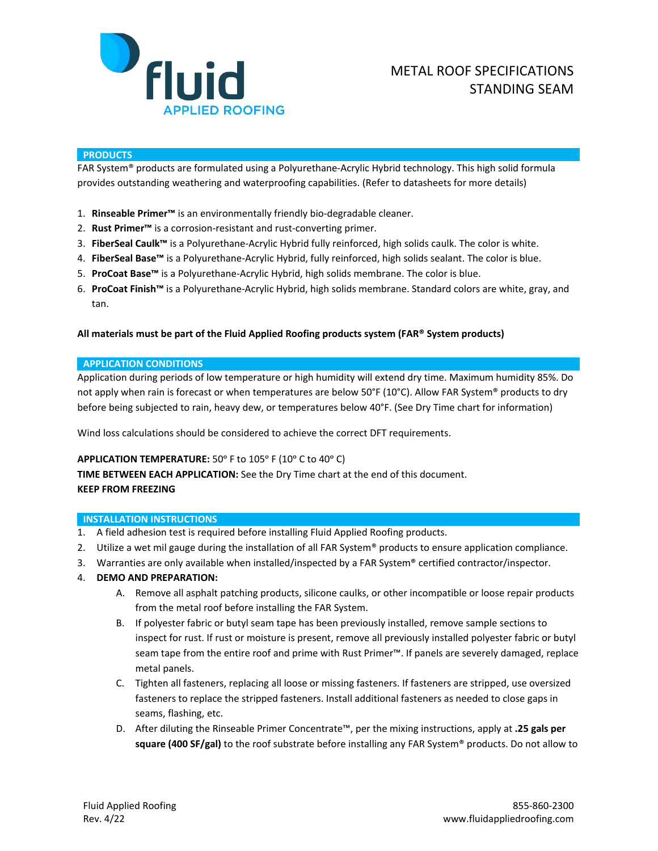

### **PRODUCTS**

FAR System® products are formulated using a Polyurethane-Acrylic Hybrid technology. This high solid formula provides outstanding weathering and waterproofing capabilities. (Refer to datasheets for more details)

- 1. **Rinseable Primer™** is an environmentally friendly bio-degradable cleaner.
- 2. **Rust Primer™** is a corrosion-resistant and rust-converting primer.
- 3. **FiberSeal Caulk™** is a Polyurethane-Acrylic Hybrid fully reinforced, high solids caulk. The color is white.
- 4. **FiberSeal Base™** is a Polyurethane-Acrylic Hybrid, fully reinforced, high solids sealant. The color is blue.
- 5. **ProCoat Base™** is a Polyurethane-Acrylic Hybrid, high solids membrane. The color is blue.
- 6. **ProCoat Finish™** is a Polyurethane-Acrylic Hybrid, high solids membrane. Standard colors are white, gray, and tan.

## **All materials must be part of the Fluid Applied Roofing products system (FAR® System products)**

### **APPLICATION CONDITIONS**

Application during periods of low temperature or high humidity will extend dry time. Maximum humidity 85%. Do not apply when rain is forecast or when temperatures are below 50°F (10°C). Allow FAR System® products to dry before being subjected to rain, heavy dew, or temperatures below 40°F. (See Dry Time chart for information)

Wind loss calculations should be considered to achieve the correct DFT requirements.

## APPLICATION TEMPERATURE: 50° F to 105° F (10° C to 40° C)

**TIME BETWEEN EACH APPLICATION:** See the Dry Time chart at the end of this document. **KEEP FROM FREEZING**

#### **INSTALLATION INSTRUCTIONS**

- 1. A field adhesion test is required before installing Fluid Applied Roofing products.
- 2. Utilize a wet mil gauge during the installation of all FAR System® products to ensure application compliance.
- 3. Warranties are only available when installed/inspected by a FAR System® certified contractor/inspector.
- 4. **DEMO AND PREPARATION:**
	- A. Remove all asphalt patching products, silicone caulks, or other incompatible or loose repair products from the metal roof before installing the FAR System.
	- B. If polyester fabric or butyl seam tape has been previously installed, remove sample sections to inspect for rust. If rust or moisture is present, remove all previously installed polyester fabric or butyl seam tape from the entire roof and prime with Rust Primer™. If panels are severely damaged, replace metal panels.
	- C. Tighten all fasteners, replacing all loose or missing fasteners. If fasteners are stripped, use oversized fasteners to replace the stripped fasteners. Install additional fasteners as needed to close gaps in seams, flashing, etc.
	- D. After diluting the Rinseable Primer Concentrate™, per the mixing instructions, apply at **.25 gals per square (400 SF/gal)** to the roof substrate before installing any FAR System® products. Do not allow to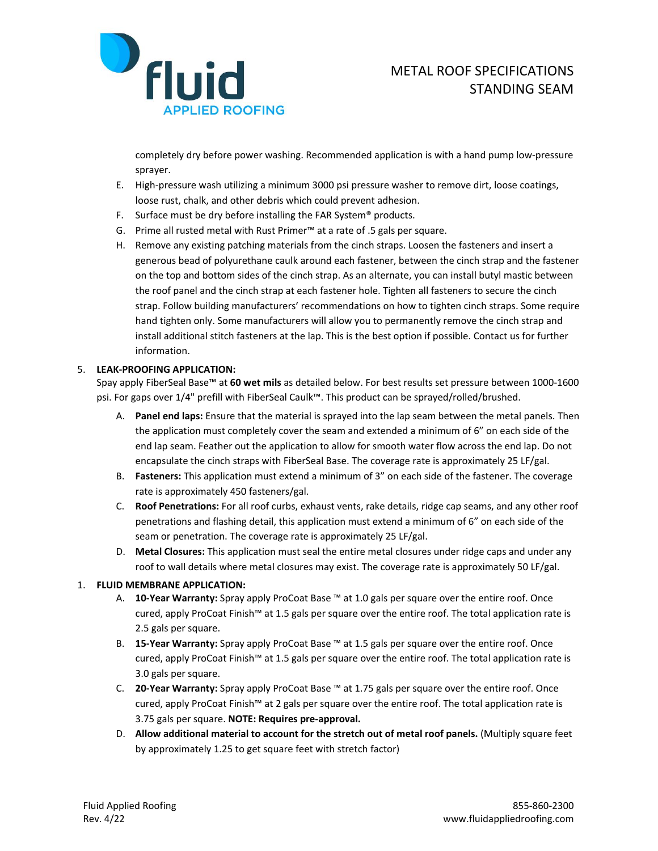

completely dry before power washing. Recommended application is with a hand pump low-pressure sprayer.

- E. High-pressure wash utilizing a minimum 3000 psi pressure washer to remove dirt, loose coatings, loose rust, chalk, and other debris which could prevent adhesion.
- F. Surface must be dry before installing the FAR System® products.
- G. Prime all rusted metal with Rust Primer™ at a rate of .5 gals per square.
- H. Remove any existing patching materials from the cinch straps. Loosen the fasteners and insert a generous bead of polyurethane caulk around each fastener, between the cinch strap and the fastener on the top and bottom sides of the cinch strap. As an alternate, you can install butyl mastic between the roof panel and the cinch strap at each fastener hole. Tighten all fasteners to secure the cinch strap. Follow building manufacturers' recommendations on how to tighten cinch straps. Some require hand tighten only. Some manufacturers will allow you to permanently remove the cinch strap and install additional stitch fasteners at the lap. This is the best option if possible. Contact us for further information.

# 5. **LEAK-PROOFING APPLICATION:**

Spay apply FiberSeal Base™ at **60 wet mils** as detailed below. For best results set pressure between 1000-1600 psi. For gaps over 1/4" prefill with FiberSeal Caulk™. This product can be sprayed/rolled/brushed.

- A. **Panel end laps:** Ensure that the material is sprayed into the lap seam between the metal panels. Then the application must completely cover the seam and extended a minimum of 6" on each side of the end lap seam. Feather out the application to allow for smooth water flow across the end lap. Do not encapsulate the cinch straps with FiberSeal Base. The coverage rate is approximately 25 LF/gal.
- B. **Fasteners:** This application must extend a minimum of 3" on each side of the fastener. The coverage rate is approximately 450 fasteners/gal.
- C. **Roof Penetrations:** For all roof curbs, exhaust vents, rake details, ridge cap seams, and any other roof penetrations and flashing detail, this application must extend a minimum of 6" on each side of the seam or penetration. The coverage rate is approximately 25 LF/gal.
- D. **Metal Closures:** This application must seal the entire metal closures under ridge caps and under any roof to wall details where metal closures may exist. The coverage rate is approximately 50 LF/gal.

## 1. **FLUID MEMBRANE APPLICATION:**

- A. **10-Year Warranty:** Spray apply ProCoat Base ™ at 1.0 gals per square over the entire roof. Once cured, apply ProCoat Finish™ at 1.5 gals per square over the entire roof. The total application rate is 2.5 gals per square.
- B. **15-Year Warranty:** Spray apply ProCoat Base ™ at 1.5 gals per square over the entire roof. Once cured, apply ProCoat Finish™ at 1.5 gals per square over the entire roof. The total application rate is 3.0 gals per square.
- C. **20-Year Warranty:** Spray apply ProCoat Base ™ at 1.75 gals per square over the entire roof. Once cured, apply ProCoat Finish™ at 2 gals per square over the entire roof. The total application rate is 3.75 gals per square. **NOTE: Requires pre-approval.**
- D. **Allow additional material to account for the stretch out of metal roof panels.** (Multiply square feet by approximately 1.25 to get square feet with stretch factor)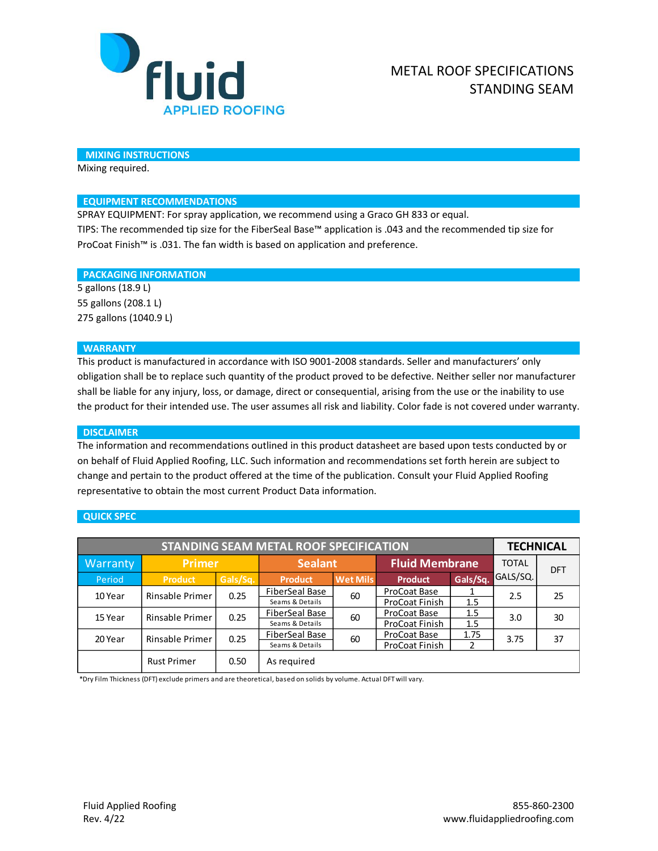

#### **MIXING INSTRUCTIONS**

Mixing required.

### **EQUIPMENT RECOMMENDATIONS**

SPRAY EQUIPMENT: For spray application, we recommend using a Graco GH 833 or equal. TIPS: The recommended tip size for the FiberSeal Base™ application is .043 and the recommended tip size for ProCoat Finish™ is .031. The fan width is based on application and preference.

#### **PACKAGING INFORMATION**

5 gallons (18.9 L) 55 gallons (208.1 L) 275 gallons (1040.9 L)

#### **WARRANTY**

This product is manufactured in accordance with ISO 9001-2008 standards. Seller and manufacturers' only obligation shall be to replace such quantity of the product proved to be defective. Neither seller nor manufacturer shall be liable for any injury, loss, or damage, direct or consequential, arising from the use or the inability to use the product for their intended use. The user assumes all risk and liability. Color fade is not covered under warranty.

#### **DISCLAIMER**

The information and recommendations outlined in this product datasheet are based upon tests conducted by or on behalf of Fluid Applied Roofing, LLC. Such information and recommendations set forth herein are subject to change and pertain to the product offered at the time of the publication. Consult your Fluid Applied Roofing representative to obtain the most current Product Data information.

#### **QUICK SPEC**

| <b>STANDING SEAM METAL ROOF SPECIFICATION</b> |                    |          |                       |                 |                       |          | <b>TECHNICAL</b> |            |
|-----------------------------------------------|--------------------|----------|-----------------------|-----------------|-----------------------|----------|------------------|------------|
| Warranty                                      | <b>Primer</b>      |          | <b>Sealant</b>        |                 | <b>Fluid Membrane</b> |          | <b>TOTAL</b>     | <b>DFT</b> |
| Period                                        | <b>Product</b>     | Gals/Sq. | <b>Product</b>        | <b>Wet Mils</b> | <b>Product</b>        | Gals/Sq. | GALS/SQ.         |            |
| 10 Year                                       | Rinsable Primer    | 0.25     | <b>FiberSeal Base</b> | 60              | ProCoat Base          |          | 2.5              | 25         |
|                                               |                    |          | Seams & Details       |                 | ProCoat Finish        | 1.5      |                  |            |
| 15 Year                                       | Rinsable Primer    | 0.25     | <b>FiberSeal Base</b> | 60              | ProCoat Base          | 1.5      | 3.0              | 30         |
|                                               |                    |          | Seams & Details       |                 | ProCoat Finish        | 1.5      |                  |            |
| 20 Year                                       | Rinsable Primer    | 0.25     | FiberSeal Base        | 60              | ProCoat Base          | 1.75     | 3.75             | 37         |
|                                               |                    |          | Seams & Details       |                 | ProCoat Finish        |          |                  |            |
|                                               | <b>Rust Primer</b> | 0.50     | As required           |                 |                       |          |                  |            |

\*Dry Film Thickness (DFT) exclude primers and are theoretical, based on solids by volume. Actual DFT will vary.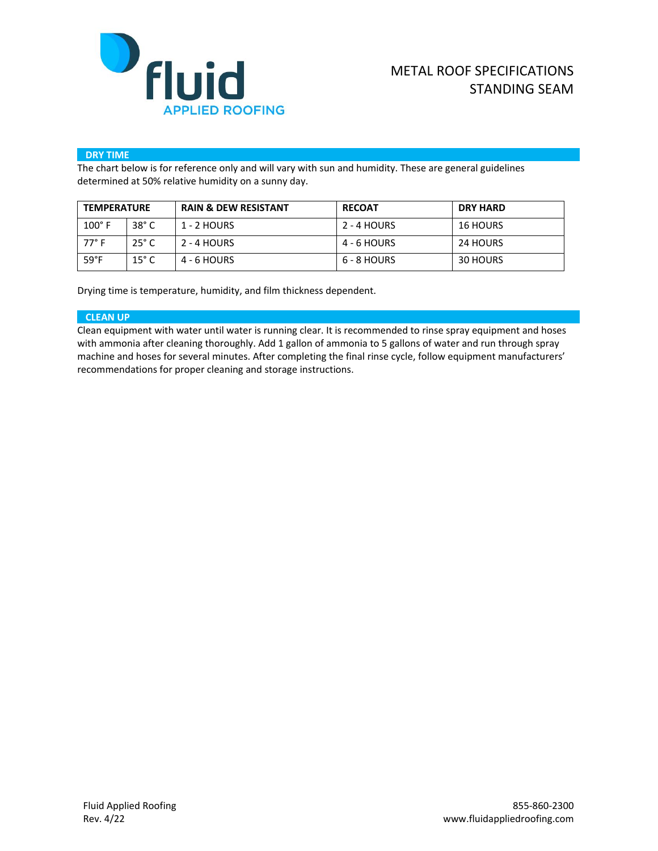

### **DRY TIME**

The chart below is for reference only and will vary with sun and humidity. These are general guidelines determined at 50% relative humidity on a sunny day.

| <b>TEMPERATURE</b> |                | <b>RAIN &amp; DEW RESISTANT</b> | <b>RECOAT</b> | <b>DRY HARD</b> |  |
|--------------------|----------------|---------------------------------|---------------|-----------------|--|
| $100^\circ$ F      | $38^\circ$ C   | 1 - 2 HOURS                     | 2 - 4 HOURS   | <b>16 HOURS</b> |  |
| $77^{\circ}$ F     | $25^\circ$ C   | 2 - 4 HOURS                     | 4 - 6 HOURS   | 24 HOURS        |  |
| $59^{\circ}F$      | $15^{\circ}$ C | 4 - 6 HOURS                     | 6 - 8 HOURS   | 30 HOURS        |  |

Drying time is temperature, humidity, and film thickness dependent.

### **CLEAN UP**

Clean equipment with water until water is running clear. It is recommended to rinse spray equipment and hoses with ammonia after cleaning thoroughly. Add 1 gallon of ammonia to 5 gallons of water and run through spray machine and hoses for several minutes. After completing the final rinse cycle, follow equipment manufacturers' recommendations for proper cleaning and storage instructions.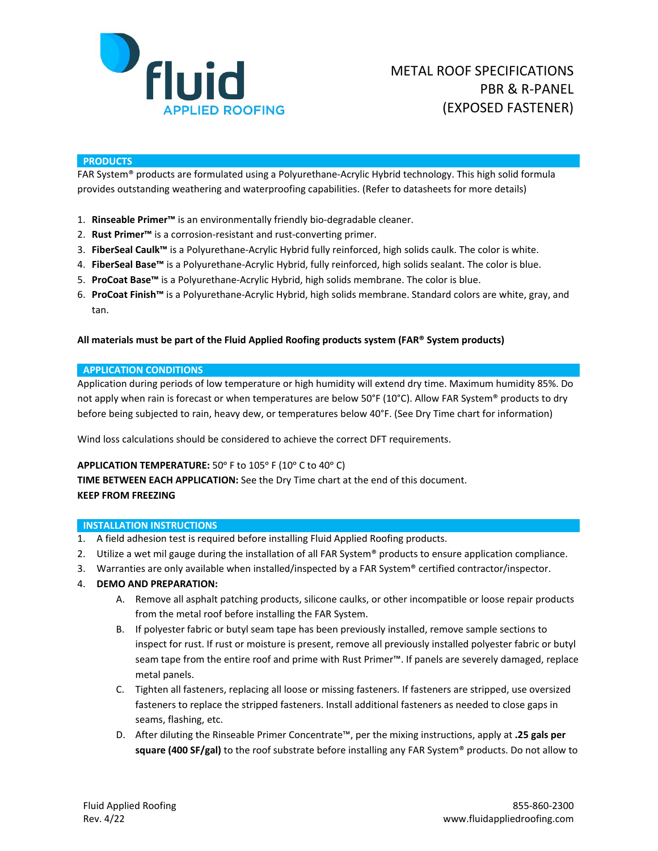

#### **PRODUCTS**

FAR System® products are formulated using a Polyurethane-Acrylic Hybrid technology. This high solid formula provides outstanding weathering and waterproofing capabilities. (Refer to datasheets for more details)

- 1. **Rinseable Primer™** is an environmentally friendly bio-degradable cleaner.
- 2. **Rust Primer™** is a corrosion-resistant and rust-converting primer.
- 3. **FiberSeal Caulk™** is a Polyurethane-Acrylic Hybrid fully reinforced, high solids caulk. The color is white.
- 4. **FiberSeal Base™** is a Polyurethane-Acrylic Hybrid, fully reinforced, high solids sealant. The color is blue.
- 5. **ProCoat Base™** is a Polyurethane-Acrylic Hybrid, high solids membrane. The color is blue.
- 6. **ProCoat Finish™** is a Polyurethane-Acrylic Hybrid, high solids membrane. Standard colors are white, gray, and tan.

## **All materials must be part of the Fluid Applied Roofing products system (FAR® System products)**

### **APPLICATION CONDITIONS**

Application during periods of low temperature or high humidity will extend dry time. Maximum humidity 85%. Do not apply when rain is forecast or when temperatures are below 50°F (10°C). Allow FAR System® products to dry before being subjected to rain, heavy dew, or temperatures below 40°F. (See Dry Time chart for information)

Wind loss calculations should be considered to achieve the correct DFT requirements.

## APPLICATION TEMPERATURE: 50° F to 105° F (10° C to 40° C)

**TIME BETWEEN EACH APPLICATION:** See the Dry Time chart at the end of this document. **KEEP FROM FREEZING**

## **INSTALLATION INSTRUCTIONS**

- 1. A field adhesion test is required before installing Fluid Applied Roofing products.
- 2. Utilize a wet mil gauge during the installation of all FAR System® products to ensure application compliance.
- 3. Warranties are only available when installed/inspected by a FAR System® certified contractor/inspector.
- 4. **DEMO AND PREPARATION:**
	- A. Remove all asphalt patching products, silicone caulks, or other incompatible or loose repair products from the metal roof before installing the FAR System.
	- B. If polyester fabric or butyl seam tape has been previously installed, remove sample sections to inspect for rust. If rust or moisture is present, remove all previously installed polyester fabric or butyl seam tape from the entire roof and prime with Rust Primer™. If panels are severely damaged, replace metal panels.
	- C. Tighten all fasteners, replacing all loose or missing fasteners. If fasteners are stripped, use oversized fasteners to replace the stripped fasteners. Install additional fasteners as needed to close gaps in seams, flashing, etc.
	- D. After diluting the Rinseable Primer Concentrate™, per the mixing instructions, apply at **.25 gals per square (400 SF/gal)** to the roof substrate before installing any FAR System® products. Do not allow to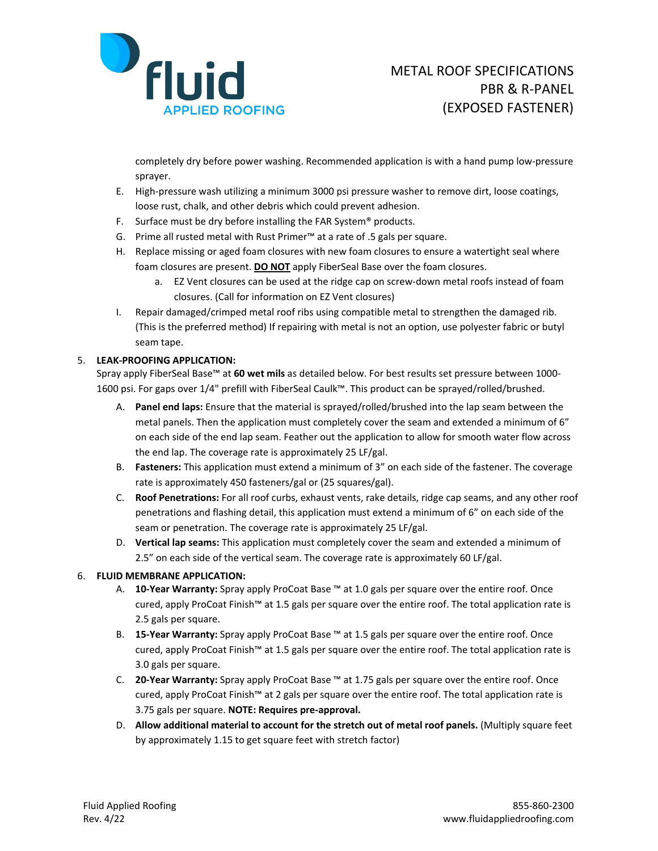

completely dry before power washing. Recommended application is with a hand pump low-pressure sprayer.

- E. High-pressure wash utilizing a minimum 3000 psi pressure washer to remove dirt, loose coatings, loose rust, chalk, and other debris which could prevent adhesion.
- F. Surface must be dry before installing the FAR System<sup>®</sup> products.
- G. Prime all rusted metal with Rust Primer™ at a rate of .5 gals per square.
- H. Replace missing or aged foam closures with new foam closures to ensure a watertight seal where foam closures are present. **DO NOT** apply FiberSeal Base over the foam closures.
	- a. EZ Vent closures can be used at the ridge cap on screw-down metal roofs instead of foam closures. (Call for information on EZ Vent closures)
- I. Repair damaged/crimped metal roof ribs using compatible metal to strengthen the damaged rib. (This is the preferred method) If repairing with metal is not an option, use polyester fabric or butyl seam tape.

# 5. **LEAK-PROOFING APPLICATION:**

Spray apply FiberSeal Base™ at **60 wet mils** as detailed below. For best results set pressure between 1000- 1600 psi. For gaps over 1/4" prefill with FiberSeal Caulk™. This product can be sprayed/rolled/brushed.

- A. **Panel end laps:** Ensure that the material is sprayed/rolled/brushed into the lap seam between the metal panels. Then the application must completely cover the seam and extended a minimum of 6" on each side of the end lap seam. Feather out the application to allow for smooth water flow across the end lap. The coverage rate is approximately 25 LF/gal.
- B. **Fasteners:** This application must extend a minimum of 3" on each side of the fastener. The coverage rate is approximately 450 fasteners/gal or (25 squares/gal).
- C. **Roof Penetrations:** For all roof curbs, exhaust vents, rake details, ridge cap seams, and any other roof penetrations and flashing detail, this application must extend a minimum of 6" on each side of the seam or penetration. The coverage rate is approximately 25 LF/gal.
- D. **Vertical lap seams:** This application must completely cover the seam and extended a minimum of 2.5" on each side of the vertical seam. The coverage rate is approximately 60 LF/gal.

# 6. **FLUID MEMBRANE APPLICATION:**

- A. **10-Year Warranty:** Spray apply ProCoat Base ™ at 1.0 gals per square over the entire roof. Once cured, apply ProCoat Finish™ at 1.5 gals per square over the entire roof. The total application rate is 2.5 gals per square.
- B. **15-Year Warranty:** Spray apply ProCoat Base ™ at 1.5 gals per square over the entire roof. Once cured, apply ProCoat Finish™ at 1.5 gals per square over the entire roof. The total application rate is 3.0 gals per square.
- C. **20-Year Warranty:** Spray apply ProCoat Base ™ at 1.75 gals per square over the entire roof. Once cured, apply ProCoat Finish™ at 2 gals per square over the entire roof. The total application rate is 3.75 gals per square. **NOTE: Requires pre-approval.**
- D. **Allow additional material to account for the stretch out of metal roof panels.** (Multiply square feet by approximately 1.15 to get square feet with stretch factor)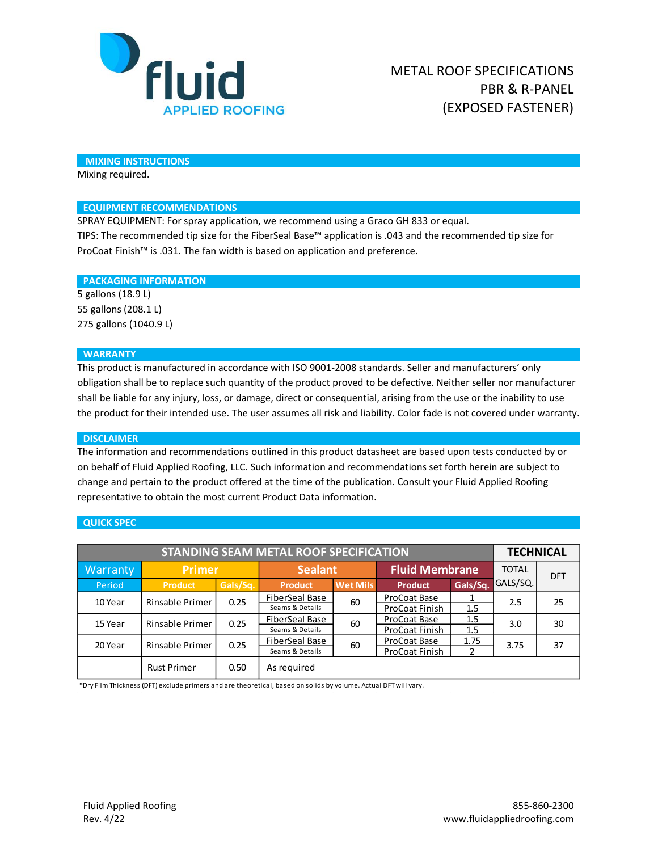

### **MIXING INSTRUCTIONS**

Mixing required.

### **EQUIPMENT RECOMMENDATIONS**

SPRAY EQUIPMENT: For spray application, we recommend using a Graco GH 833 or equal. TIPS: The recommended tip size for the FiberSeal Base™ application is .043 and the recommended tip size for ProCoat Finish™ is .031. The fan width is based on application and preference.

### **PACKAGING INFORMATION**

5 gallons (18.9 L) 55 gallons (208.1 L) 275 gallons (1040.9 L)

### **WARRANTY**

This product is manufactured in accordance with ISO 9001-2008 standards. Seller and manufacturers' only obligation shall be to replace such quantity of the product proved to be defective. Neither seller nor manufacturer shall be liable for any injury, loss, or damage, direct or consequential, arising from the use or the inability to use the product for their intended use. The user assumes all risk and liability. Color fade is not covered under warranty.

#### **DISCLAIMER**

The information and recommendations outlined in this product datasheet are based upon tests conducted by or on behalf of Fluid Applied Roofing, LLC. Such information and recommendations set forth herein are subject to change and pertain to the product offered at the time of the publication. Consult your Fluid Applied Roofing representative to obtain the most current Product Data information.

## **QUICK SPEC**

| <b>STANDING SEAM METAL ROOF SPECIFICATION</b> |                    |          |                                          |                 |                                |            | <b>TECHNICAL</b> |            |
|-----------------------------------------------|--------------------|----------|------------------------------------------|-----------------|--------------------------------|------------|------------------|------------|
| Warranty                                      | <b>Primer</b>      |          | <b>Sealant</b>                           |                 | <b>Fluid Membrane</b>          |            | <b>TOTAL</b>     | <b>DFT</b> |
| Period                                        | <b>Product</b>     | Gals/Sq. | <b>Product</b>                           | <b>Wet Mils</b> | <b>Product</b>                 | Gals/Sq.   | GALS/SQ.         |            |
| 10 Year                                       | Rinsable Primer    | 0.25     | FiberSeal Base<br>Seams & Details        | 60              | ProCoat Base<br>ProCoat Finish | 1.5        | 2.5              | 25         |
| 15 Year                                       | Rinsable Primer    | 0.25     | <b>FiberSeal Base</b><br>Seams & Details | 60              | ProCoat Base<br>ProCoat Finish | 1.5<br>1.5 | 3.0              | 30         |
| 20 Year                                       | Rinsable Primer    | 0.25     | FiberSeal Base<br>Seams & Details        | 60              | ProCoat Base<br>ProCoat Finish | 1.75<br>2  | 3.75             | 37         |
|                                               | <b>Rust Primer</b> | 0.50     | As required                              |                 |                                |            |                  |            |

\*Dry Film Thickness (DFT) exclude primers and are theoretical, based on solids by volume. Actual DFT will vary.